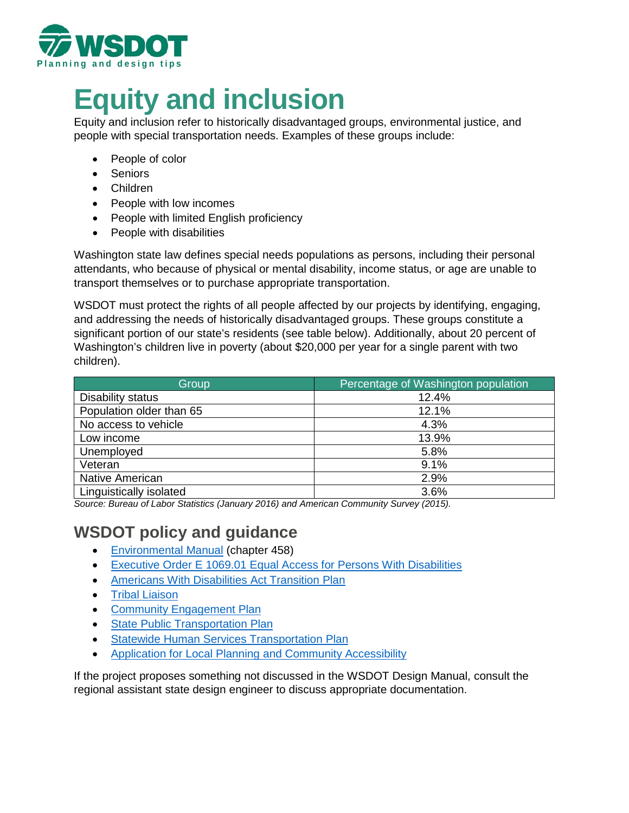

# **Equity and inclusion**

Equity and inclusion refer to historically disadvantaged groups, environmental justice, and people with special transportation needs. Examples of these groups include:

- People of color
- Seniors
- Children
- People with low incomes
- People with limited English proficiency
- People with disabilities

Washington state law defines special needs populations as persons, including their personal attendants, who because of physical or mental disability, income status, or age are unable to transport themselves or to purchase appropriate transportation.

WSDOT must protect the rights of all people affected by our projects by identifying, engaging, and addressing the needs of historically disadvantaged groups. These groups constitute a significant portion of our state's residents (see table below). Additionally, about 20 percent of Washington's children live in poverty (about \$20,000 per year for a single parent with two children).

| Group                    | Percentage of Washington population |
|--------------------------|-------------------------------------|
| Disability status        | 12.4%                               |
| Population older than 65 | 12.1%                               |
| No access to vehicle     | 4.3%                                |
| Low income               | 13.9%                               |
| Unemployed               | 5.8%                                |
| Veteran                  | 9.1%                                |
| <b>Native American</b>   | 2.9%                                |
| Linguistically isolated  | 3.6%                                |

*Source: Bureau of Labor Statistics (January 2016) and American Community Survey (2015).* 

# **WSDOT policy and guidance**

- [Environmental](https://www.wsdot.wa.gov/publications/manuals/fulltext/M31-11/458.pdf) Manual (chapter 458)
- [Executive Order E 1069.01 Equal Access for Persons With Disabilities](https://www.wsdot.wa.gov/sites/default/files/2018/01/18/ADA-Executive-Order-E106-equality.pdf)
- [Americans With Disabilities Act Transition](https://www.wsdot.wa.gov/EqualOpportunity/ADA.htm) Plan
- [Tribal Liaison](https://www.wsdot.wa.gov/tribal/default.htm)
- [Community Engagement Plan](https://www.wsdot.wa.gov/sites/default/files/2017/02/28/FinalCEP2016.pdf)
- [State Public Transportation Plan](https://www.wsdot.wa.gov/transit/planning#StatePublicTransportationPlan)
- [Statewide Human Services Transportation Plan](https://www.wsdot.wa.gov/transit/planning#StatewideHumanServicesTransportationPlan)
- [Application for Local Planning and Community Accessibility](https://wsdot.wa.gov/business-wsdot/grants/public-transportation-grants/apply-and-manage-your-grant)

If the project proposes something not discussed in the WSDOT Design Manual, consult the regional assistant state design engineer to discuss appropriate documentation.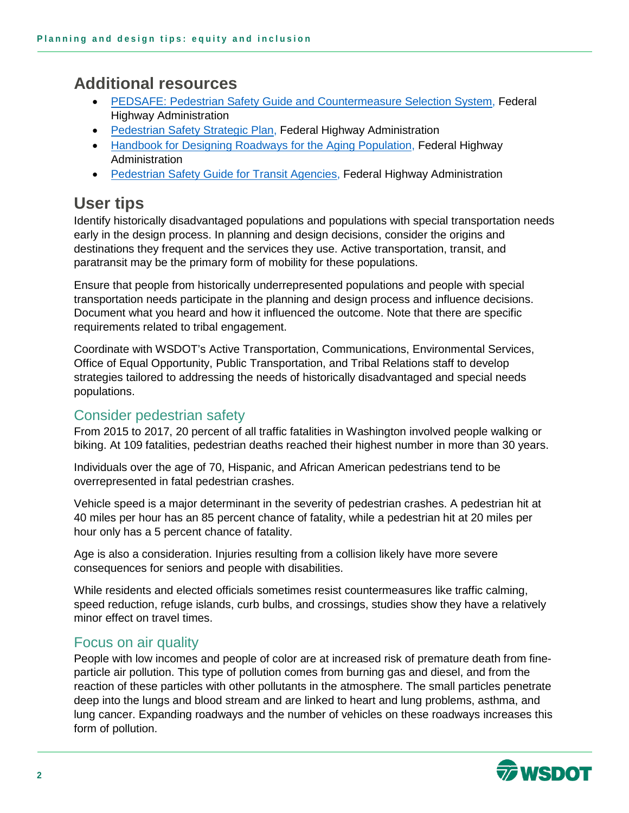# **Additional resources**

- [PEDSAFE: Pedestrian Safety Guide and Countermeasure Selection System,](http://www.pedbikesafe.org/PEDSAFE/index.cfm) Federal Highway Administration
- [Pedestrian Safety Strategic Plan,](https://safety.fhwa.dot.gov/ped_bike/pssp/background/psafety.cfm) Federal Highway Administration
- [Handbook for Designing Roadways for the Aging Population,](https://safety.fhwa.dot.gov/older_users/handbook/) Federal Highway Administration
- [Pedestrian Safety Guide for Transit Agencies,](https://safety.fhwa.dot.gov/ped_bike/ped_transit/ped_transguide/transit_guide.pdf) Federal Highway Administration

# **User tips**

Identify historically disadvantaged populations and populations with special transportation needs early in the design process. In planning and design decisions, consider the origins and destinations they frequent and the services they use. Active transportation, transit, and paratransit may be the primary form of mobility for these populations.

Ensure that people from historically underrepresented populations and people with special transportation needs participate in the planning and design process and influence decisions. Document what you heard and how it influenced the outcome. Note that there are specific requirements related to tribal engagement.

Coordinate with WSDOT's Active Transportation, Communications, Environmental Services, Office of Equal Opportunity, Public Transportation, and Tribal Relations staff to develop strategies tailored to addressing the needs of historically disadvantaged and special needs populations.

## Consider pedestrian safety

From 2015 to 2017, 20 percent of all traffic fatalities in Washington involved people walking or biking. At 109 fatalities, pedestrian deaths reached their highest number in more than 30 years.

Individuals over the age of 70, Hispanic, and African American pedestrians tend to be overrepresented in fatal pedestrian crashes.

Vehicle speed is a major determinant in the severity of pedestrian crashes. A pedestrian hit at 40 miles per hour has an 85 percent chance of fatality, while a pedestrian hit at 20 miles per hour only has a 5 percent chance of fatality.

Age is also a consideration. Injuries resulting from a collision likely have more severe consequences for seniors and people with disabilities.

While residents and elected officials sometimes resist countermeasures like traffic calming, speed reduction, refuge islands, curb bulbs, and crossings, studies show they have a relatively minor effect on travel times.

## Focus on air quality

People with low incomes and people of color are at increased risk of premature death from fineparticle air pollution. This type of pollution comes from burning gas and diesel, and from the reaction of these particles with other pollutants in the atmosphere. The small particles penetrate deep into the lungs and blood stream and are linked to heart and lung problems, asthma, and lung cancer. Expanding roadways and the number of vehicles on these roadways increases this form of pollution.